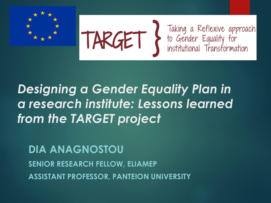



TARGET > Taking a Reflexive approach<br>institutional Transformation

### *Designing a Gender Equality Plan in a research institute: Lessons learned from the TARGET project*

**DIA ANAGNOSTOU SENIOR RESEARCH FELLOW, ELIAMEP ASSISTANT PROFESSOR, PANTEION UNIVERSITY**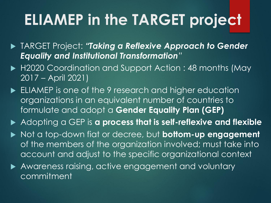# **ELIAMEP in the TARGET project**

- TARGET Project: *"Taking a Reflexive Approach to Gender Equality and Institutional Transformation"*
- ▶ H2020 Coordination and Support Action : 48 months (May 2017 – April 2021)
- ELIAMEP is one of the 9 research and higher education organizations in an equivalent number of countries to formulate and adopt a **Gender Equality Plan (GEP)**
- Adopting a GEP is **a process that is self-reflexive and flexible**
- ▶ Not a top-down fiat or decree, but **bottom-up engagement** of the members of the organization involved; must take into account and adjust to the specific organizational context
- Awareness raising, active engagement and voluntary commitment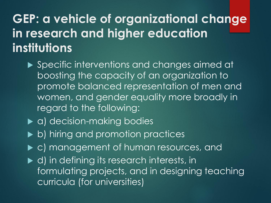#### **GEP: a vehicle of organizational change in research and higher education institutions**

- ▶ Specific interventions and changes aimed at boosting the capacity of an organization to promote balanced representation of men and women, and gender equality more broadly in regard to the following:
- ▶ a) decision-making bodies
- ▶ b) hiring and promotion practices
- $\blacktriangleright$  c) management of human resources, and
- $\blacktriangleright$  d) in defining its research interests, in formulating projects, and in designing teaching curricula (for universities)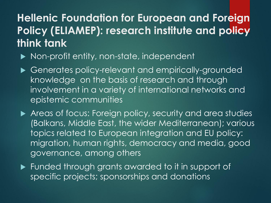#### **Hellenic Foundation for European and Foreign Policy (ELIAMEP): research institute and policy think tank**

- ▶ Non-profit entity, non-state, independent
- Generates policy-relevant and empirically-grounded knowledge on the basis of research and through involvement in a variety of international networks and epistemic communities
- Areas of focus: Foreign policy, security and area studies (Balkans, Middle East, the wider Mediterranean); various topics related to European integration and EU policy: migration, human rights, democracy and media, good governance, among others
- **Funded through grants awarded to it in support of** specific projects; sponsorships and donations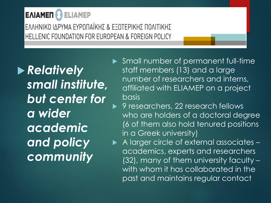#### ΕΛΙΑΜΕΠ **ELIAMEP**

ΕΛΛΗΝΙΚΟ ΙΔΡΥΜΑ ΕΥΡΩΠΑΪΚΗΣ & ΕΞΩΤΕΡΙΚΗΣ ΠΟΛΙΤΙΚΗΣ HELLENIC FOUNDATION FOR EUROPEAN & FOREIGN POLICY

 *Relatively small institute, but center for a wider academic and policy community* 

- Small number of permanent full-time staff members (13) and a large number of researchers and interns, affiliated with ELIAMEP on a project basis
	- 9 researchers, 22 research fellows who are holders of a doctoral degree (6 of them also hold tenured positions in a Greek university)
- A larger circle of external associates academics, experts and researchers (32), many of them university faculty – with whom it has collaborated in the past and maintains regular contact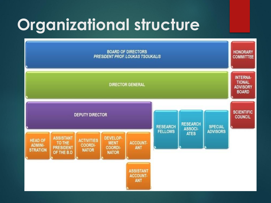# **Organizational structure**

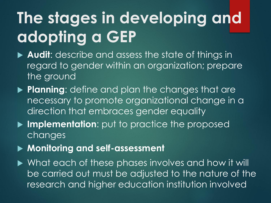# **The stages in developing and adopting a GEP**

- ▶ **Audit**: describe and assess the state of things in regard to gender within an organization; prepare the ground
- **Planning**: define and plan the changes that are necessary to promote organizational change in a direction that embraces gender equality
- **Implementation**: put to practice the proposed changes
- **Monitoring and self-assessment**

▶ What each of these phases involves and how it will be carried out must be adjusted to the nature of the research and higher education institution involved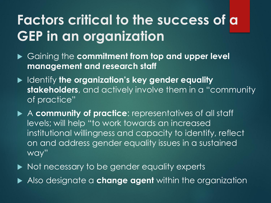## **Factors critical to the success of a GEP in an organization**

- Gaining the **commitment from top and upper level management and research staff**
- Identify **the organization's key gender equality stakeholders**, and actively involve them in a "community of practice"
- A **community of practice**: representatives of all staff levels; will help "to work towards an increased institutional willingness and capacity to identify, reflect on and address gender equality issues in a sustained way"
- Not necessary to be gender equality experts
- Also designate a **change agent** within the organization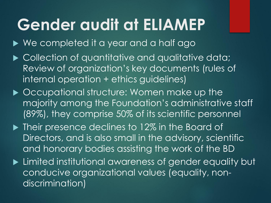# **Gender audit at ELIAMEP**

- ▶ We completed it a year and a half ago
- ▶ Collection of quantitative and qualitative data; Review of organization's key documents (rules of internal operation + ethics guidelines)
- ▶ Occupational structure: Women make up the majority among the Foundation's administrative staff (89%), they comprise 50% of its scientific personnel
- ▶ Their presence declines to 12% in the Board of Directors, and is also small in the advisory, scientific and honorary bodies assisting the work of the BD
- **Limited institutional awareness of gender equality but** conducive organizational values (equality, nondiscrimination)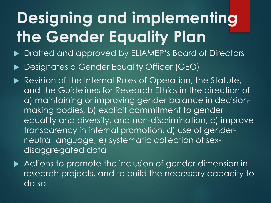# **Designing and implementing the Gender Equality Plan**

- ▶ Drafted and approved by ELIAMEP's Board of Directors
- Designates a Gender Equality Officer (GEO)
- Revision of the Internal Rules of Operation, the Statute, and the Guidelines for Research Ethics in the direction of a) maintaining or improving gender balance in decisionmaking bodies, b) explicit commitment to gender equality and diversity, and non-discrimination, c) improve transparency in internal promotion, d) use of genderneutral language, e) systematic collection of sexdisaggregated data
- Actions to promote the inclusion of gender dimension in research projects, and to build the necessary capacity to do so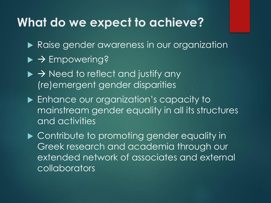#### **What do we expect to achieve?**

- Raise gender awareness in our organization
- $\triangleright$   $\rightarrow$  Empowering?
- $\triangleright$   $\rightarrow$  Need to reflect and justify any (re)emergent gender disparities
- **Enhance our organization's capacity to** mainstream gender equality in all its structures and activities

▶ Contribute to promoting gender equality in Greek research and academia through our extended network of associates and external collaborators